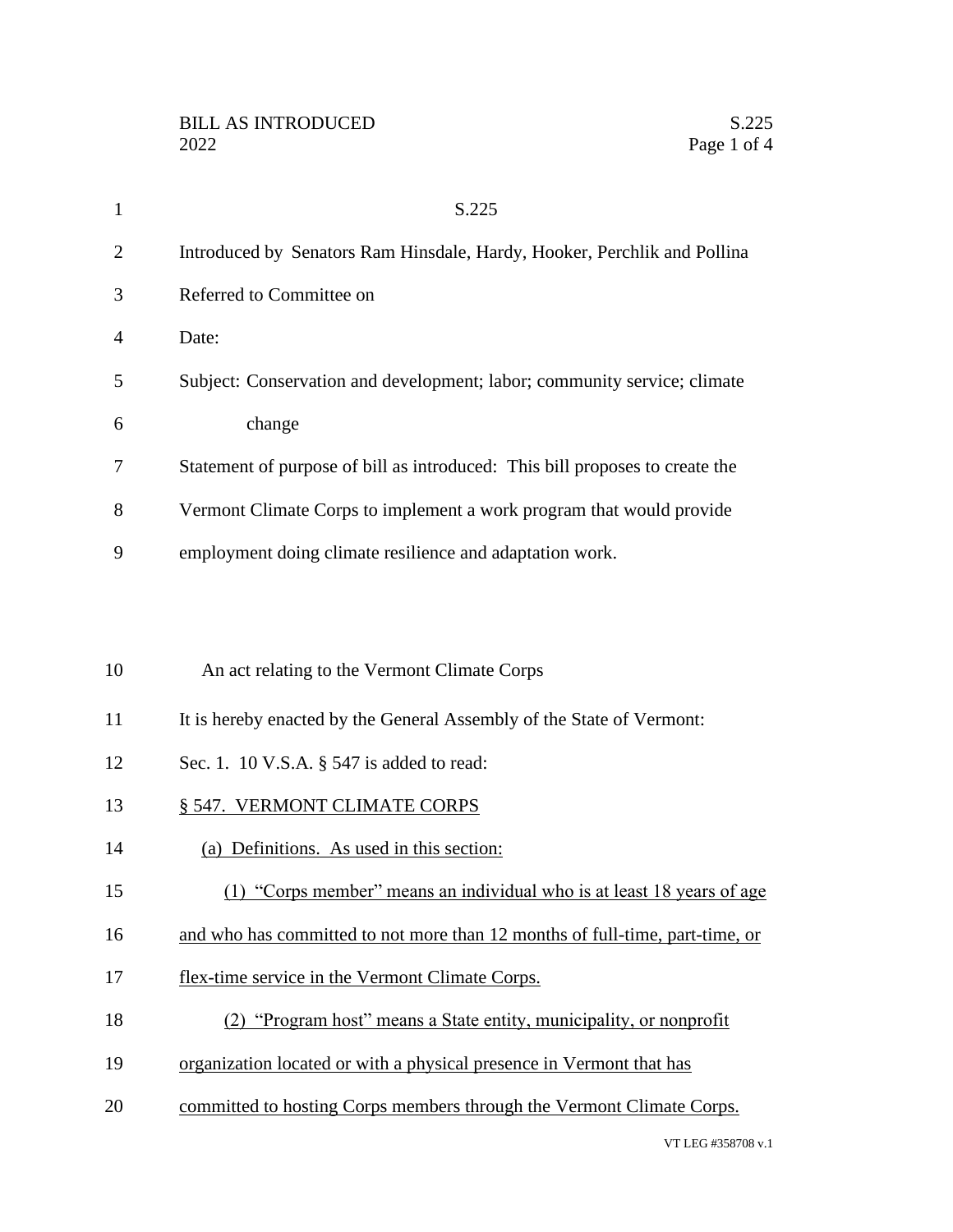| $\mathbf{1}$   | S.225                                                                        |
|----------------|------------------------------------------------------------------------------|
| $\overline{2}$ | Introduced by Senators Ram Hinsdale, Hardy, Hooker, Perchlik and Pollina     |
| 3              | Referred to Committee on                                                     |
| $\overline{4}$ | Date:                                                                        |
| 5              | Subject: Conservation and development; labor; community service; climate     |
| 6              | change                                                                       |
| 7              | Statement of purpose of bill as introduced: This bill proposes to create the |
| 8              | Vermont Climate Corps to implement a work program that would provide         |
| 9              | employment doing climate resilience and adaptation work.                     |
|                |                                                                              |
|                |                                                                              |
| 10             | An act relating to the Vermont Climate Corps                                 |
| 11             | It is hereby enacted by the General Assembly of the State of Vermont:        |
| 12             | Sec. 1. 10 V.S.A. § 547 is added to read:                                    |
| 13             | § 547. VERMONT CLIMATE CORPS                                                 |
| 14             | (a) Definitions. As used in this section:                                    |
| 15             | (1) "Corps member" means an individual who is at least 18 years of age       |
| 16             | and who has committed to not more than 12 months of full-time, part-time, or |
| 17             | flex-time service in the Vermont Climate Corps.                              |
| 18             | (2) "Program host" means a State entity, municipality, or nonprofit          |
| 19             | organization located or with a physical presence in Vermont that has         |
| 20             | committed to hosting Corps members through the Vermont Climate Corps.        |
|                |                                                                              |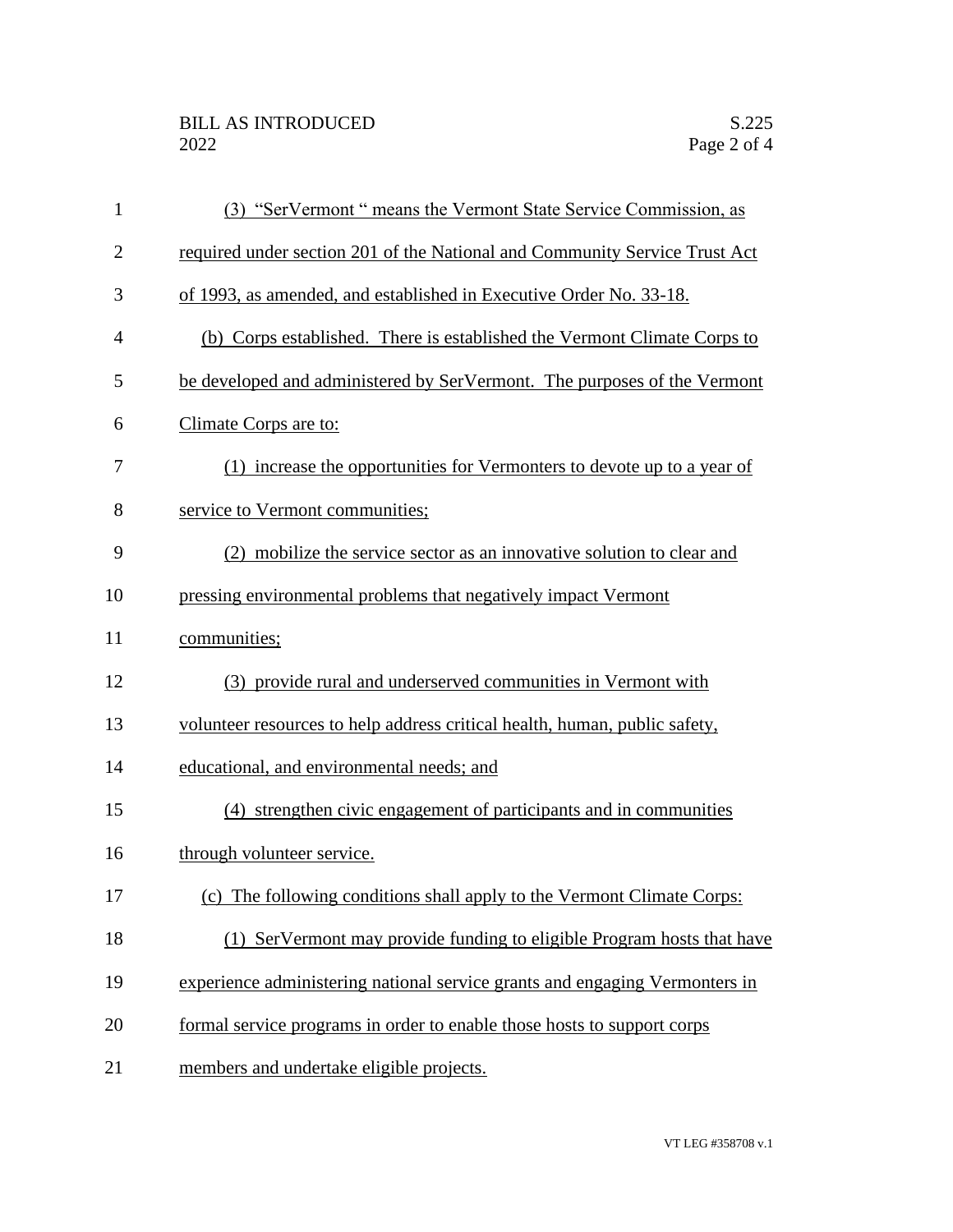| $\mathbf{1}$   | (3) "SerVermont " means the Vermont State Service Commission, as            |
|----------------|-----------------------------------------------------------------------------|
| $\overline{2}$ | required under section 201 of the National and Community Service Trust Act  |
| 3              | of 1993, as amended, and established in Executive Order No. 33-18.          |
| 4              | (b) Corps established. There is established the Vermont Climate Corps to    |
| 5              | be developed and administered by SerVermont. The purposes of the Vermont    |
| 6              | Climate Corps are to:                                                       |
| 7              | (1) increase the opportunities for Vermonters to devote up to a year of     |
| 8              | service to Vermont communities;                                             |
| 9              | (2) mobilize the service sector as an innovative solution to clear and      |
| 10             | pressing environmental problems that negatively impact Vermont              |
| 11             | communities;                                                                |
| 12             | (3) provide rural and underserved communities in Vermont with               |
| 13             | volunteer resources to help address critical health, human, public safety,  |
| 14             | educational, and environmental needs; and                                   |
| 15             | (4) strengthen civic engagement of participants and in communities          |
| 16             | through volunteer service.                                                  |
| 17             | (c) The following conditions shall apply to the Vermont Climate Corps:      |
| 18             | (1) SerVermont may provide funding to eligible Program hosts that have      |
| 19             | experience administering national service grants and engaging Vermonters in |
| 20             | formal service programs in order to enable those hosts to support corps     |
| 21             | members and undertake eligible projects.                                    |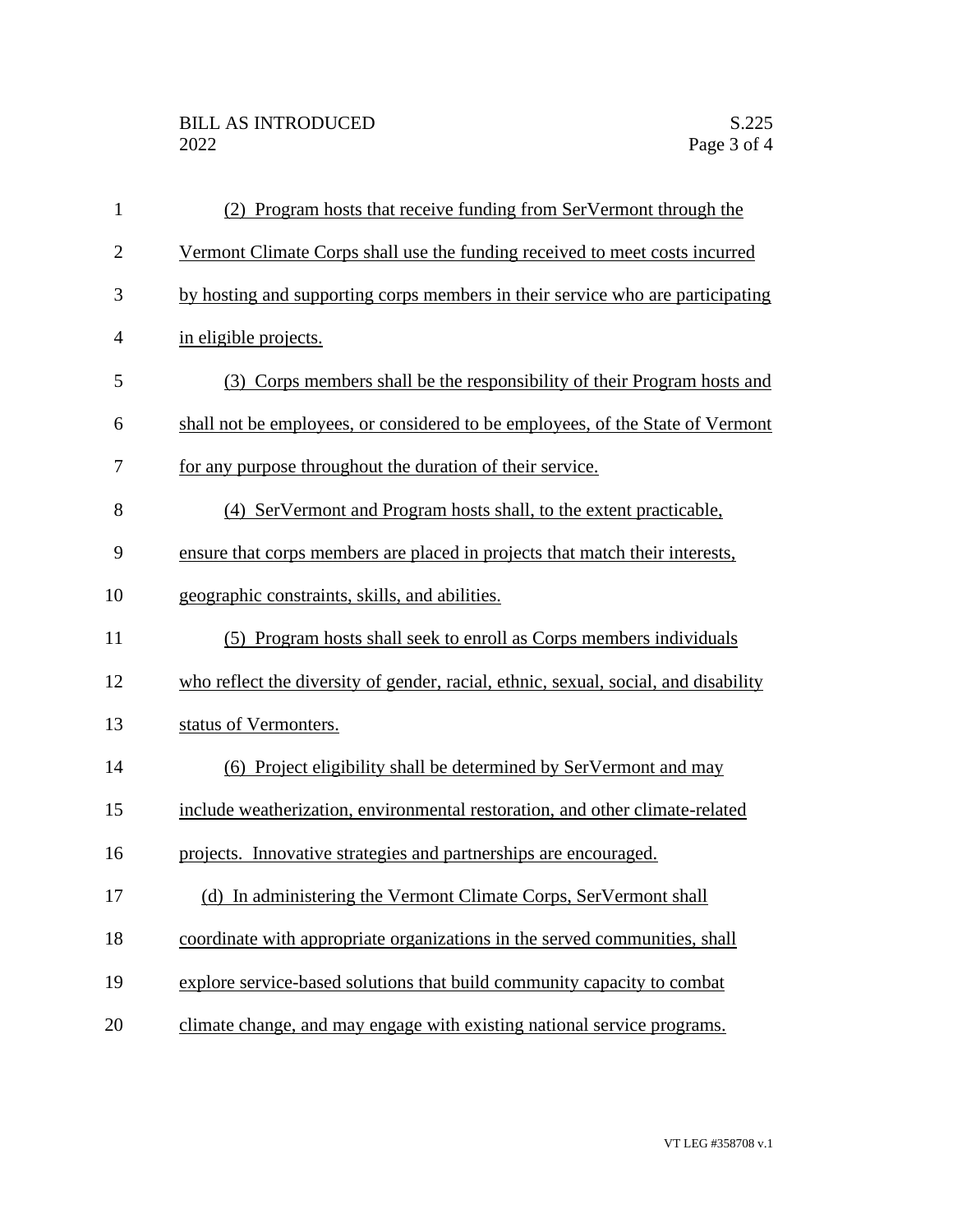| $\mathbf{1}$   | (2) Program hosts that receive funding from SerVermont through the                  |
|----------------|-------------------------------------------------------------------------------------|
| $\overline{2}$ | Vermont Climate Corps shall use the funding received to meet costs incurred         |
| 3              | by hosting and supporting corps members in their service who are participating      |
| $\overline{4}$ | in eligible projects.                                                               |
| 5              | (3) Corps members shall be the responsibility of their Program hosts and            |
| 6              | shall not be employees, or considered to be employees, of the State of Vermont      |
| 7              | for any purpose throughout the duration of their service.                           |
| 8              | (4) SerVermont and Program hosts shall, to the extent practicable,                  |
| 9              | ensure that corps members are placed in projects that match their interests,        |
| 10             | geographic constraints, skills, and abilities.                                      |
| 11             | (5) Program hosts shall seek to enroll as Corps members individuals                 |
| 12             | who reflect the diversity of gender, racial, ethnic, sexual, social, and disability |
| 13             | status of Vermonters.                                                               |
| 14             | (6) Project eligibility shall be determined by SerVermont and may                   |
| 15             | include weatherization, environmental restoration, and other climate-related        |
| 16             | projects. Innovative strategies and partnerships are encouraged.                    |
| 17             | In administering the Vermont Climate Corps, SerVermont shall<br>(d)                 |
| 18             | coordinate with appropriate organizations in the served communities, shall          |
| 19             | explore service-based solutions that build community capacity to combat             |
| 20             | climate change, and may engage with existing national service programs.             |